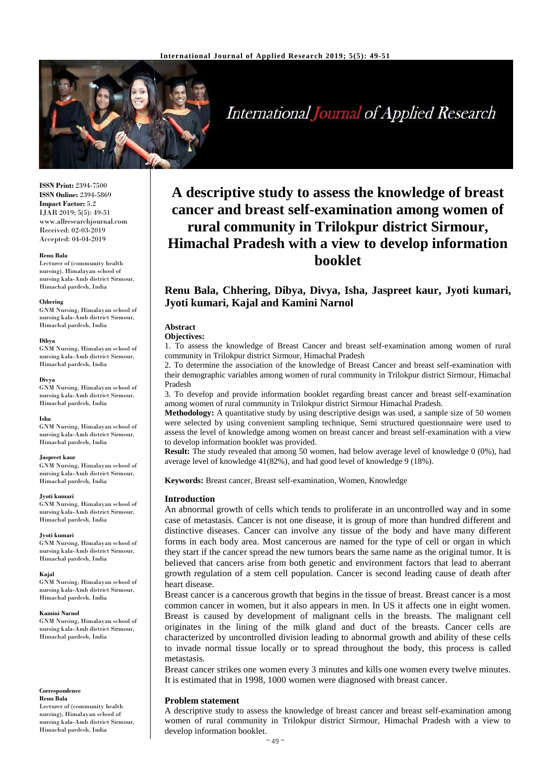

# **International Journal of Applied Research**

**ISSN Print:** 2394-7500 **ISSN Online:** 2394-5869 **Impact Factor:** 5.2 IJAR 2019; 5(5): 49-51 www.allresearchjournal.com Received: 02-03-2019 Accepted: 04-04-2019

### **Renu Bala**

Lecturer of (community health nursing), Himalayan school of nursing kala-Amb district Sirmour, Himachal pardesh, India

### **Chhering**

GNM Nursing, Himalayan school of nursing kala-Amb district Sirmour, Himachal pardesh, India

### **Dibya**

GNM Nursing, Himalayan school of nursing kala-Amb district Sirmour, Himachal pardesh, India

### **Divya**

GNM Nursing, Himalayan school of nursing kala-Amb district Sirmour, Himachal pardesh, India

### **Isha**

GNM Nursing, Himalayan school of nursing kala-Amb district Sirmour, Himachal pardesh, India

### **Jaspreet kaur**

GNM Nursing, Himalayan school of nursing kala-Amb district Sirmour, Himachal pardesh, India

### **Jyoti kumari**

GNM Nursing, Himalayan school of nursing kala-Amb district Sirmour, Himachal pardesh, India

### **Jyoti kumari**

GNM Nursing, Himalayan school of nursing kala-Amb district Sirmour, Himachal pardesh, India

### **Kajal**

GNM Nursing, Himalayan school of nursing kala-Amb district Sirmour, Himachal pardesh, India

### **Kamini Narnol**

GNM Nursing, Himalayan school of nursing kala-Amb district Sirmour, Himachal pardesh, India

### **Correspondence Renu Bala**

Lecturer of (community health nursing), Himalayan school of nursing kala-Amb district Sirmour, Himachal pardesh, India

# **A descriptive study to assess the knowledge of breast cancer and breast self-examination among women of rural community in Trilokpur district Sirmour, Himachal Pradesh with a view to develop information booklet**

# **Renu Bala, Chhering, Dibya, Divya, Isha, Jaspreet kaur, Jyoti kumari, Jyoti kumari, Kajal and Kamini Narnol**

# **Abstract**

**Objectives:** 

1. To assess the knowledge of Breast Cancer and breast self-examination among women of rural community in Trilokpur district Sirmour, Himachal Pradesh

2. To determine the association of the knowledge of Breast Cancer and breast self-examination with their demographic variables among women of rural community in Trilokpur district Sirmour, Himachal Pradesh

3. To develop and provide information booklet regarding breast cancer and breast self-examination among women of rural community in Trilokpur district Sirmour Himachal Pradesh.

**Methodology:** A quantitative study by using descriptive design was used, a sample size of 50 women were selected by using convenient sampling technique, Semi structured questionnaire were used to assess the level of knowledge among women on breast cancer and breast self-examination with a view to develop information booklet was provided.

**Result:** The study revealed that among 50 women, had below average level of knowledge 0 (0%), had average level of knowledge 41(82%), and had good level of knowledge 9 (18%).

**Keywords:** Breast cancer, Breast self-examination, Women, Knowledge

### **Introduction**

An abnormal growth of cells which tends to proliferate in an uncontrolled way and in some case of metastasis. Cancer is not one disease, it is group of more than hundred different and distinctive diseases. Cancer can involve any tissue of the body and have many different forms in each body area. Most cancerous are named for the type of cell or organ in which they start if the cancer spread the new tumors bears the same name as the original tumor. It is believed that cancers arise from both genetic and environment factors that lead to aberrant growth regulation of a stem cell population. Cancer is second leading cause of death after heart disease.

Breast cancer is a cancerous growth that begins in the tissue of breast. Breast cancer is a most common cancer in women, but it also appears in men. In US it affects one in eight women. Breast is caused by development of malignant cells in the breasts. The malignant cell originates in the lining of the milk gland and duct of the breasts. Cancer cells are characterized by uncontrolled division leading to abnormal growth and ability of these cells to invade normal tissue locally or to spread throughout the body, this process is called metastasis.

Breast cancer strikes one women every 3 minutes and kills one women every twelve minutes. It is estimated that in 1998, 1000 women were diagnosed with breast cancer.

# **Problem statement**

A descriptive study to assess the knowledge of breast cancer and breast self-examination among women of rural community in Trilokpur district Sirmour, Himachal Pradesh with a view to develop information booklet.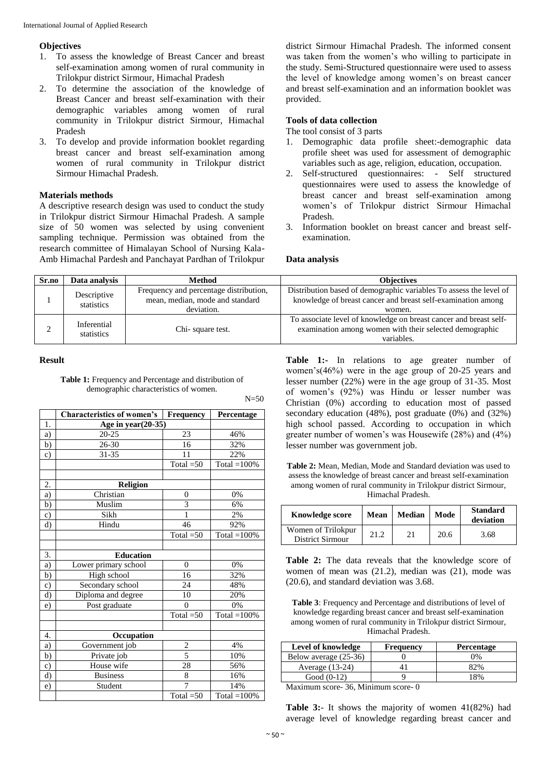# **Objectives**

- 1. To assess the knowledge of Breast Cancer and breast self-examination among women of rural community in Trilokpur district Sirmour, Himachal Pradesh
- 2. To determine the association of the knowledge of Breast Cancer and breast self-examination with their demographic variables among women of rural community in Trilokpur district Sirmour, Himachal Pradesh
- 3. To develop and provide information booklet regarding breast cancer and breast self-examination among women of rural community in Trilokpur district Sirmour Himachal Pradesh.

# **Materials methods**

A descriptive research design was used to conduct the study in Trilokpur district Sirmour Himachal Pradesh. A sample size of 50 women was selected by using convenient sampling technique. Permission was obtained from the research committee of Himalayan School of Nursing Kala-Amb Himachal Pardesh and Panchayat Pardhan of Trilokpur

district Sirmour Himachal Pradesh. The informed consent was taken from the women's who willing to participate in the study. Semi-Structured questionnaire were used to assess the level of knowledge among women's on breast cancer and breast self-examination and an information booklet was provided.

# **Tools of data collection**

The tool consist of 3 parts

- 1. Demographic data profile sheet:-demographic data profile sheet was used for assessment of demographic variables such as age, religion, education, occupation.
- 2. Self-structured questionnaires: Self structured questionnaires were used to assess the knowledge of breast cancer and breast self-examination among women's of Trilokpur district Sirmour Himachal Pradesh.
- 3. Information booklet on breast cancer and breast selfexamination.

## **Data analysis**

| Sr.no | Data analysis             | Method                                 | <b>Objectives</b>                                                  |  |  |  |
|-------|---------------------------|----------------------------------------|--------------------------------------------------------------------|--|--|--|
|       | Descriptive<br>statistics | Frequency and percentage distribution, | Distribution based of demographic variables To assess the level of |  |  |  |
|       |                           | mean, median, mode and standard        | knowledge of breast cancer and breast self-examination among       |  |  |  |
|       |                           | deviation.                             | women.                                                             |  |  |  |
|       | Inferential<br>statistics |                                        | To associate level of knowledge on breast cancer and breast self-  |  |  |  |
|       |                           | Chi-square test.                       | examination among women with their selected demographic            |  |  |  |
|       |                           |                                        | variables.                                                         |  |  |  |

 $N=50$ 

## **Result**

**Table 1:** Frequency and Percentage and distribution of demographic characteristics of women.

|           | <b>Characteristics of women's</b> | Frequency      | Percentage      |
|-----------|-----------------------------------|----------------|-----------------|
| 1.        | Age in year(20-35)                |                |                 |
| a)        | $20 - 25$                         | 23             | 46%             |
| b)        | 26-30                             | 16             | 32%             |
| c)        | 31-35                             | 11             | 22%             |
|           |                                   | Total $=50$    | Total $=100\%$  |
|           |                                   |                |                 |
| 2.        | <b>Religion</b>                   |                |                 |
| a)        | Christian                         | $\overline{0}$ | 0%              |
| b)        | Muslim                            | 3              | 6%              |
| c)        | Sikh                              | $\mathbf{1}$   | 2%              |
| d)        | Hindu                             | 46             | 92%             |
|           |                                   | Total $=50$    | Total $=100\%$  |
|           |                                   |                |                 |
| 3.        | <b>Education</b>                  |                |                 |
| a)        | Lower primary school              | $\theta$       | 0%              |
| b)        | High school                       | 16             | 32%             |
| $\circ$ ) | Secondary school                  | 24             | 48%             |
| d)        | Diploma and degree                | 10             | 20%             |
| e)        | Post graduate                     | $\theta$       | 0%              |
|           |                                   | Total $=50$    | Total = $100\%$ |
|           |                                   |                |                 |
| 4.        | Occupation                        |                |                 |
| a)        | Government job                    | $\overline{c}$ | 4%              |
| b)        | Private job                       | $\overline{5}$ | 10%             |
| c)        | House wife                        | 28             | 56%             |
| d)        | <b>Business</b>                   | 8              | 16%             |
| e)        | Student                           | 7              | 14%             |
|           |                                   | Total $=50$    | Total $=100\%$  |

Table 1:- In relations to age greater number of women's(46%) were in the age group of 20-25 years and lesser number (22%) were in the age group of 31-35. Most of women's (92%) was Hindu or lesser number was Christian (0%) according to education most of passed secondary education (48%), post graduate (0%) and (32%) high school passed. According to occupation in which greater number of women's was Housewife (28%) and (4%) lesser number was government job.

**Table 2:** Mean, Median, Mode and Standard deviation was used to assess the knowledge of breast cancer and breast self-examination among women of rural community in Trilokpur district Sirmour, Himachal Pradesh.

| <b>Knowledge score</b>                 | Mean | <b>Median</b> | Mode | <b>Standard</b><br>deviation |
|----------------------------------------|------|---------------|------|------------------------------|
| Women of Trilokpur<br>District Sirmour | 21.2 | 21            | 20.6 | 3.68                         |

**Table 2:** The data reveals that the knowledge score of women of mean was (21.2), median was (21), mode was (20.6), and standard deviation was 3.68.

**Table 3**: Frequency and Percentage and distributions of level of knowledge regarding breast cancer and breast self-examination among women of rural community in Trilokpur district Sirmour, Himachal Pradesh.

| Level of knowledge    | <b>Frequency</b> | <b>Percentage</b> |  |  |
|-----------------------|------------------|-------------------|--|--|
| Below average (25-36) |                  | 0%                |  |  |
| Average $(13-24)$     |                  | 82%               |  |  |
| Good $(0-12)$         |                  | 18%               |  |  |
|                       |                  |                   |  |  |

Maximum score- 36, Minimum score- 0

**Table 3:**- It shows the majority of women 41(82%) had average level of knowledge regarding breast cancer and